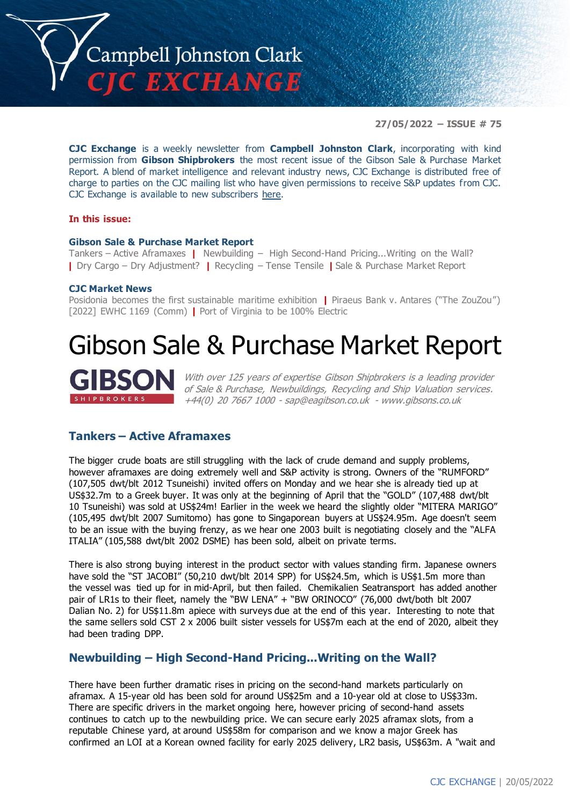

**27/05/2022 – ISSUE # 75**

**CJC Exchange** is a weekly newsletter from **Campbell Johnston Clark**, incorporating with kind permission from **Gibson Shipbrokers** the most recent issue of the Gibson Sale & Purchase Market Report. A blend of market intelligence and relevant industry news, CJC Exchange is distributed free of charge to parties on the CJC mailing list who have given permissions to receive S&P updates from CJC. CJC Exchange is available to new subscribers [here.](mailto:jamesc@cjclaw.com?subject=CJC%20Exchange%20sign-up)

## **In this issue:**

### **Gibson Sale & Purchase Market Report**

Tankers – Active Aframaxes **|** Newbuilding – High Second-Hand Pricing...Writing on the Wall? **|** Dry Cargo – Dry Adjustment? **|** Recycling – Tense Tensile **|** Sale & Purchase Market Report

### **CJC Market News**

Posidonia becomes the first sustainable maritime exhibition **|** Piraeus Bank v. Antares ("The ZouZou") [2022] EWHC 1169 (Comm) **|** Port of Virginia to be 100% Electric

# Gibson Sale & Purchase Market Report

With over 125 years of expertise Gibson Shipbrokers is a leading provider of Sale & Purchase, Newbuildings, Recycling and Ship Valuation services. +44(0) 20 7667 1000 - [sap@eagibson.co.uk](mailto:sap@eagibson.co.uk) - [www.gibsons.co.uk](https://protect-eu.mimecast.com/s/VO6nCGZzRS60KqcK1jQh/)

## **Tankers – Active Aframaxes**

The bigger crude boats are still struggling with the lack of crude demand and supply problems, however aframaxes are doing extremely well and S&P activity is strong. Owners of the "RUMFORD" (107,505 dwt/blt 2012 Tsuneishi) invited offers on Monday and we hear she is already tied up at US\$32.7m to a Greek buyer. It was only at the beginning of April that the "GOLD" (107,488 dwt/blt 10 Tsuneishi) was sold at US\$24m! Earlier in the week we heard the slightly older "MITERA MARIGO" (105,495 dwt/blt 2007 Sumitomo) has gone to Singaporean buyers at US\$24.95m. Age doesn't seem to be an issue with the buying frenzy, as we hear one 2003 built is negotiating closely and the "ALFA ITALIA" (105,588 dwt/blt 2002 DSME) has been sold, albeit on private terms.

There is also strong buying interest in the product sector with values standing firm. Japanese owners have sold the "ST JACOBI" (50,210 dwt/blt 2014 SPP) for US\$24.5m, which is US\$1.5m more than the vessel was tied up for in mid-April, but then failed. Chemikalien Seatransport has added another pair of LR1s to their fleet, namely the "BW LENA" + "BW ORINOCO" (76,000 dwt/both blt 2007 Dalian No. 2) for US\$11.8m apiece with surveys due at the end of this year. Interesting to note that the same sellers sold CST 2 x 2006 built sister vessels for US\$7m each at the end of 2020, albeit they had been trading DPP.

# **Newbuilding – High Second-Hand Pricing...Writing on the Wall?**

There have been further dramatic rises in pricing on the second-hand markets particularly on aframax. A 15-year old has been sold for around US\$25m and a 10-year old at close to US\$33m. There are specific drivers in the market ongoing here, however pricing of second-hand assets continues to catch up to the newbuilding price. We can secure early 2025 aframax slots, from a reputable Chinese yard, at around US\$58m for comparison and we know a major Greek has confirmed an LOI at a Korean owned facility for early 2025 delivery, LR2 basis, US\$63m. A "wait and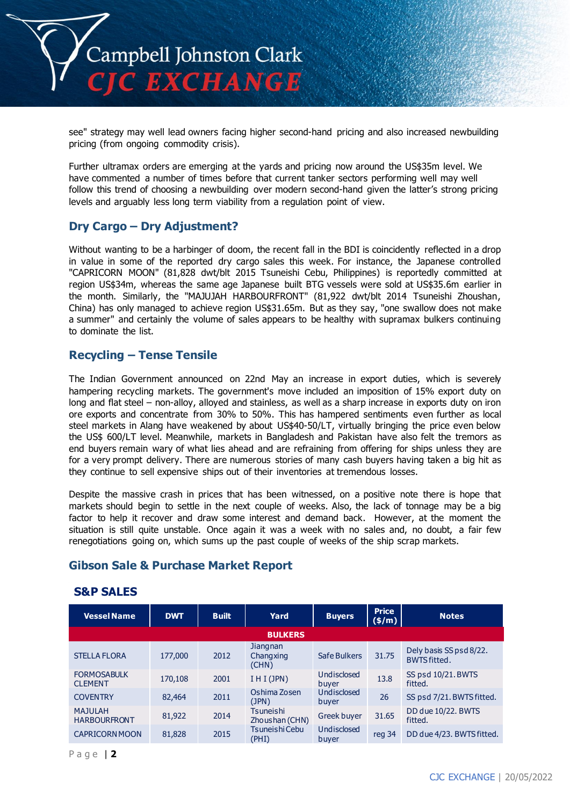

see" strategy may well lead owners facing higher second-hand pricing and also increased newbuilding pricing (from ongoing commodity crisis).

Further ultramax orders are emerging at the yards and pricing now around the US\$35m level. We have commented a number of times before that current tanker sectors performing well may well follow this trend of choosing a newbuilding over modern second-hand given the latter's strong pricing levels and arguably less long term viability from a regulation point of view.

## **Dry Cargo – Dry Adjustment?**

Without wanting to be a harbinger of doom, the recent fall in the BDI is coincidently reflected in a drop in value in some of the reported dry cargo sales this week. For instance, the Japanese controlled "CAPRICORN MOON" (81,828 dwt/blt 2015 Tsuneishi Cebu, Philippines) is reportedly committed at region US\$34m, whereas the same age Japanese built BTG vessels were sold at US\$35.6m earlier in the month. Similarly, the "MAJUJAH HARBOURFRONT" (81,922 dwt/blt 2014 Tsuneishi Zhoushan, China) has only managed to achieve region US\$31.65m. But as they say, "one swallow does not make a summer" and certainly the volume of sales appears to be healthy with supramax bulkers continuing to dominate the list.

# **Recycling – Tense Tensile**

The Indian Government announced on 22nd May an increase in export duties, which is severely hampering recycling markets. The government's move included an imposition of 15% export duty on long and flat steel – non-alloy, alloyed and stainless, as well as a sharp increase in exports duty on iron ore exports and concentrate from 30% to 50%. This has hampered sentiments even further as local steel markets in Alang have weakened by about US\$40-50/LT, virtually bringing the price even below the US\$ 600/LT level. Meanwhile, markets in Bangladesh and Pakistan have also felt the tremors as end buyers remain wary of what lies ahead and are refraining from offering for ships unless they are for a very prompt delivery. There are numerous stories of many cash buyers having taken a big hit as they continue to sell expensive ships out of their inventories at tremendous losses.

Despite the massive crash in prices that has been witnessed, on a positive note there is hope that markets should begin to settle in the next couple of weeks. Also, the lack of tonnage may be a big factor to help it recover and draw some interest and demand back. However, at the moment the situation is still quite unstable. Once again it was a week with no sales and, no doubt, a fair few renegotiations going on, which sums up the past couple of weeks of the ship scrap markets.

# **Gibson Sale & Purchase Market Report**

## **S&P SALES**

| <b>Vessel Name</b>                    | <b>DWT</b> | <b>Built</b> | Yard                           | <b>Buyers</b>        | <b>Price</b><br>$(\frac{\epsilon}{m})$ | <b>Notes</b>                                   |
|---------------------------------------|------------|--------------|--------------------------------|----------------------|----------------------------------------|------------------------------------------------|
|                                       |            |              | <b>BULKERS</b>                 |                      |                                        |                                                |
| <b>STELLA FLORA</b>                   | 177,000    | 2012         | Jiangnan<br>Changxing<br>(CHN) | Safe Bulkers         | 31.75                                  | Dely basis SS psd 8/22.<br><b>BWTS fitted.</b> |
| <b>FORMOSABULK</b><br><b>CLEMENT</b>  | 170,108    | 2001         | I H I (JPN)                    | Undisclosed<br>buyer | 13.8                                   | SS psd 10/21. BWTS<br>fitted.                  |
| <b>COVENTRY</b>                       | 82,464     | 2011         | Oshima Zosen<br>(JPN)          | Undisclosed<br>buver | 26                                     | SS psd 7/21. BWTS fitted.                      |
| <b>MAJULAH</b><br><b>HARBOURFRONT</b> | 81,922     | 2014         | Tsuneishi<br>Zhoushan (CHN)    | Greek buyer          | 31.65                                  | DD due 10/22. BWTS<br>fitted.                  |
| CAPRICORN MOON                        | 81,828     | 2015         | Tsuneishi Cebu<br>(PHI)        | Undisclosed<br>buyer | reg 34                                 | DD due 4/23. BWTS fitted.                      |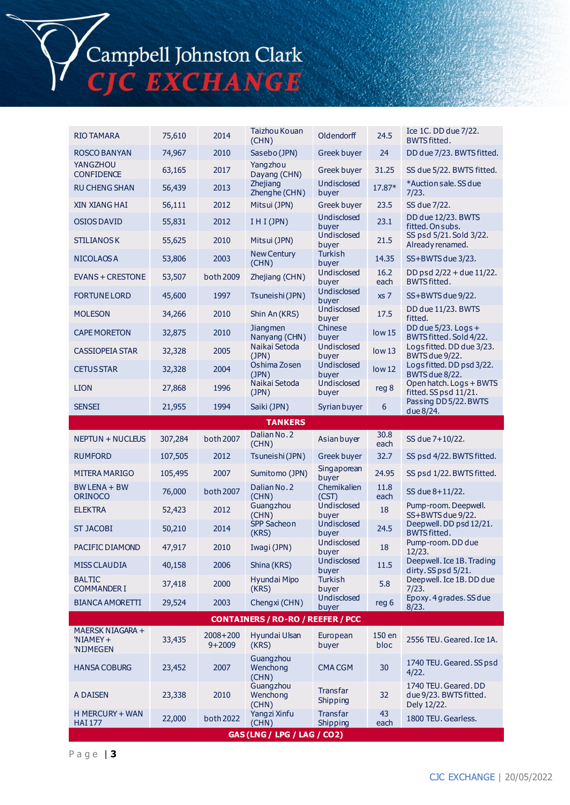Campbell Johnston Clark<br>CJC EXCHANGE

| RIO TAMARA                                | 75,610  | 2014                       | Taizhou Kouan                            | Oldendorff                  | 24.5              | Ice 1C. DD due 7/22.                                          |  |
|-------------------------------------------|---------|----------------------------|------------------------------------------|-----------------------------|-------------------|---------------------------------------------------------------|--|
| ROSCO BANYAN                              | 74,967  | 2010                       | (CHN)<br>Sasebo (JPN)                    | Greek buyer                 | 24                | <b>BWTS fitted.</b><br>DD due 7/23. BWTS fitted.              |  |
| YANGZHOU                                  | 63,165  | 2017                       | Yangzhou                                 | Greek buyer                 | 31.25             | SS due 5/22. BWTS fitted.                                     |  |
| <b>CONFIDENCE</b>                         |         | 2013                       | Dayang (CHN)<br>Zhejiang                 | Undisclosed                 | 17.87*            | *Auction sale. SS due                                         |  |
| <b>RU CHENG SHAN</b>                      | 56,439  |                            | Zhenghe (CHN)                            | buyer                       |                   | 7/23.                                                         |  |
| <b>XIN XIANG HAI</b>                      | 56,111  | 2012                       | Mitsui (JPN)                             | Greek buyer<br>Undisclosed  | 23.5              | SS due 7/22.<br>DD due 12/23. BWTS                            |  |
| OSIOS DAVID                               | 55,831  | 2012                       | $I$ H I (JPN)                            | buyer                       | 23.1              | fitted. On subs.                                              |  |
| <b>STILIANOS K</b>                        | 55,625  | 2010                       | Mitsui (JPN)                             | Undisclosed<br>buver        | 21.5              | SS psd 5/21. Sold 3/22.<br>Already renamed.                   |  |
| NICOLAOS A                                | 53,806  | 2003                       | <b>New Century</b><br>(CHN)              | Turkish<br>buyer            | 14.35             | SS+BWTS due 3/23.                                             |  |
| <b>EVANS + CRESTONE</b>                   | 53,507  | both 2009                  | Zhejiang (CHN)                           | Undisclosed<br>buyer        | 16.2<br>each      | DD psd 2/22 + due 11/22.<br><b>BWTS fitted.</b>               |  |
| <b>FORTUNE LORD</b>                       | 45,600  | 1997                       | Tsuneishi (JPN)                          | Undisclosed<br>buyer        | xs 7              | SS+BWTS due 9/22.                                             |  |
| <b>MOLESON</b>                            | 34,266  | 2010                       | Shin An (KRS)                            | Undisclosed<br>buyer        | 17.5              | DD due 11/23. BWTS<br>fitted.                                 |  |
| <b>CAPE MORETON</b>                       | 32,875  | 2010                       | <b>Jiangmen</b><br>Nanyang (CHN)         | Chinese<br>buyer            | low <sub>15</sub> | DD due $5/23$ . Logs +<br>BWTS fitted. Sold 4/22.             |  |
| <b>CASSIOPEIA STAR</b>                    | 32,328  | 2005                       | Naikai Setoda<br>(JPN)                   | Undisclosed<br>buyer        | low13             | Logs fitted. DD due 3/23.<br>BWTS due 9/22.                   |  |
| <b>CETUS STAR</b>                         | 32,328  | 2004                       | Oshima Zosen<br>(JPN)                    | Undisclosed<br>buver        | low <sub>12</sub> | Logs fitted. DD psd 3/22.<br>BWTS due 8/22.                   |  |
| <b>LION</b>                               | 27,868  | 1996                       | Naikai Setoda<br>(JPN)                   | Undisclosed<br>buyer        | reg 8             | Open hatch. Logs + BWTS<br>fitted. SS psd 11/21.              |  |
| SENSEI                                    | 21,955  | 1994                       | Saiki (JPN)                              | Syrian buyer                | 6                 | Passing DD 5/22. BWTS<br>due 8/24.                            |  |
| <b>TANKERS</b>                            |         |                            |                                          |                             |                   |                                                               |  |
| <b>NEPTUN + NUCLEUS</b>                   | 307,284 | both 2007                  | Dalian No. 2<br>(CHN)                    | Asian buyer                 | 30.8<br>each      | SS due 7+10/22.                                               |  |
| <b>RUMFORD</b>                            | 107,505 | 2012                       | Tsuneishi (JPN)                          | Greek buyer                 | 32.7              | SS psd 4/22. BWTS fitted.                                     |  |
| MITERA MARIGO                             | 105,495 | 2007                       | Sumitomo (JPN)                           | Singaporean<br>buyer        | 24.95             | SS psd 1/22. BWTS fitted.                                     |  |
| BW LENA + BW<br><b>ORINOCO</b>            | 76,000  | both 2007                  | Dalian No. 2<br>(CHN)                    | Chemikalien<br>(CST)        | 11.8<br>each      | SS due 8+11/22.                                               |  |
| <b>ELEKTRA</b>                            | 52,423  | 2012                       | Guangzhou<br>(CHN)                       | Undisclosed<br>buyer        | 18                | Pump-room. Deepwell.<br>SS+BWTS due 9/22.                     |  |
| ST JACOBI                                 | 50,210  | 2014                       | SPP Sacheon<br>(KRS)                     | Undisclosed<br>buyer        | 24.5              | Deepwell. DD psd 12/21.<br><b>BWTSfitted.</b>                 |  |
| PACIFIC DIAMOND                           | 47,917  | 2010                       | Iwagi (JPN)                              | Undisclosed<br>buyer        | 18                | Pump-room. DD due<br>12/23.                                   |  |
| MISS CLAUDIA                              | 40,158  | 2006                       | Shina (KRS)                              | Undisclosed<br>buyer        | 11.5              | Deepwell. Ice 1B. Trading<br>dirty. SS psd 5/21.              |  |
| <b>BALTIC</b><br><b>COMMANDER I</b>       | 37,418  | 2000                       | Hyundai Mipo<br>(KRS)                    | Turkish<br>buver            | 5.8               | Deepwell. Ice 1B. DD due<br>7/23.                             |  |
| <b>BIANCA AMORETTI</b>                    | 29,524  | 2003                       | Chengxi (CHN)                            | Undisclosed<br>buyer        | reg 6             | Epoxy. 4 grades. SS due<br>8/23.                              |  |
|                                           |         |                            | <b>CONTAINERS / RO-RO / REEFER / PCC</b> |                             |                   |                                                               |  |
| MAERSK NIAGARA +<br>'NIAMEY+<br>'NIJMEGEN | 33,435  | $2008 + 200$<br>$9 + 2009$ | Hyundai Ulsan<br>(KRS)                   | European<br>buyer           | 150 en<br>bloc    | 2556 TEU. Geared. Ice 1A.                                     |  |
| <b>HANSA COBURG</b>                       | 23,452  | 2007                       | Guangzhou<br>Wenchong<br>(CHN)           | <b>CMA CGM</b>              | 30                | 1740 TEU. Geared. SS psd<br>4/22.                             |  |
| A DAISEN                                  | 23,338  | 2010                       | Guangzhou<br>Wenchong<br>(CHN)           | <b>Transfar</b><br>Shipping | 32                | 1740 TEU. Geared. DD<br>due 9/23. BWTS fitted.<br>Dely 12/22. |  |
| H MERCURY + WAN<br><b>HAI 177</b>         | 22,000  | both 2022                  | Yangzi Xinfu<br>(CHN)                    | <b>Transfar</b><br>Shipping | 43<br>each        | 1800 TEU. Gearless.                                           |  |
|                                           |         |                            | GAS (LNG / LPG / LAG / CO2)              |                             |                   |                                                               |  |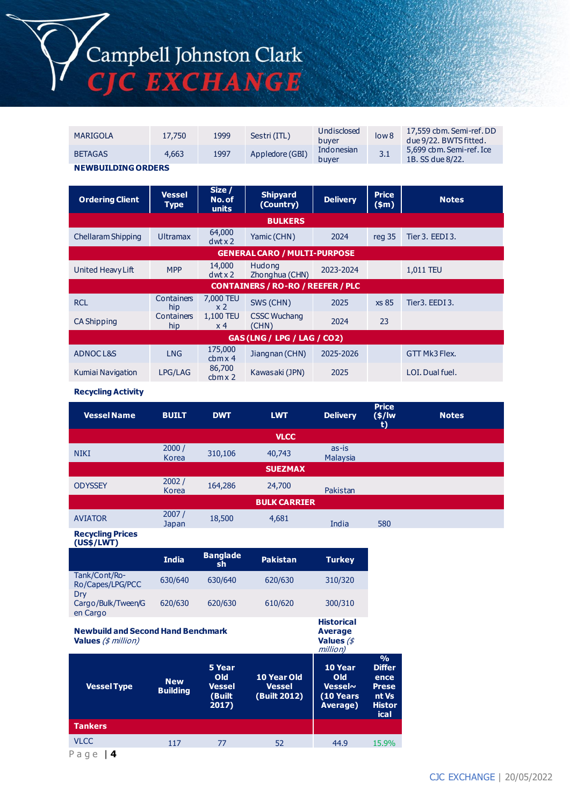

| MARIGOLA                  | 17,750 | 1999 | Sestri (ITL)    | Undisclosed<br>buver | low <sub>8</sub> | 17,559 cbm. Semi-ref. DD<br>due 9/22. BWTS fitted. |  |
|---------------------------|--------|------|-----------------|----------------------|------------------|----------------------------------------------------|--|
| <b>BETAGAS</b>            | 4,663  | 1997 | Appledore (GBI) | Indonesian<br>buver  | 3.1              | 5,699 cbm. Semi-ref. Ice<br>1B, SS due 8/22.       |  |
| <b>NEWBUILDING ORDERS</b> |        |      |                 |                      |                  |                                                    |  |

| <b>Ordering Client</b>              | <b>Vessel</b><br><b>Type</b> | Size /<br>No. of<br>units    | <b>Shipyard</b><br>(Country)             | <b>Delivery</b> | <b>Price</b><br>\$m\$ | <b>Notes</b>    |  |  |
|-------------------------------------|------------------------------|------------------------------|------------------------------------------|-----------------|-----------------------|-----------------|--|--|
| <b>BULKERS</b>                      |                              |                              |                                          |                 |                       |                 |  |  |
| Chellaram Shipping                  | <b>Ultramax</b>              | 64,000<br>$dwt \times 2$     | Yamic (CHN)                              | 2024            | reg 35                | Tier 3. EEDI 3. |  |  |
| <b>GENERAL CARO / MULTI-PURPOSE</b> |                              |                              |                                          |                 |                       |                 |  |  |
| United Heavy Lift                   | <b>MPP</b>                   | 14,000<br>$dwt \times 2$     | Hudong<br>Zhonghua (CHN)                 | 2023-2024       |                       | 1,011 TEU       |  |  |
|                                     |                              |                              | <b>CONTAINERS / RO-RO / REEFER / PLC</b> |                 |                       |                 |  |  |
| <b>RCL</b>                          | Containers<br>hip            | 7,000 TEU<br>x <sub>2</sub>  | SWS (CHN)                                | 2025            | xs 85                 | Tier3. EEDI3.   |  |  |
| CA Shipping                         | Containers<br>hip            | 1,100 TEU<br>x <sub>4</sub>  | <b>CSSC Wuchang</b><br>(CHN)             | 2024            | 23                    |                 |  |  |
| GAS (LNG / LPG / LAG / CO2)         |                              |                              |                                          |                 |                       |                 |  |  |
| ADNOCL&S                            | <b>LNG</b>                   | 175,000<br>cbmx <sub>4</sub> | Jiangnan (CHN)                           | 2025-2026       |                       | GTT Mk3 Flex.   |  |  |
| Kumiai Navigation                   | LPG/LAG                      | 86,700<br>cbmx <sub>2</sub>  | Kawasaki (JPN)                           | 2025            |                       | LOI. Dual fuel. |  |  |

#### **Recycling Activity**

| <b>Vessel Name</b>  | <b>BUILT</b>   | <b>DWT</b> | <b>LWT</b>     | <b>Delivery</b>   | <b>Price</b><br>$(*)/$ lw<br>t) | <b>Notes</b> |  |  |
|---------------------|----------------|------------|----------------|-------------------|---------------------------------|--------------|--|--|
| <b>VLCC</b>         |                |            |                |                   |                                 |              |  |  |
| <b>NIKI</b>         | 2000/<br>Korea | 310,106    | 40,743         | as-is<br>Malaysia |                                 |              |  |  |
|                     |                |            | <b>SUEZMAX</b> |                   |                                 |              |  |  |
| <b>ODYSSEY</b>      | 2002/<br>Korea | 164,286    | 24,700         | Pakistan          |                                 |              |  |  |
| <b>BULK CARRIER</b> |                |            |                |                   |                                 |              |  |  |
| <b>AVIATOR</b>      | 2007/<br>Japan | 18,500     | 4,681          | India             | 580                             |              |  |  |

**Recycling Prices (US\$/LWT)**

|                                                                         | <b>India</b>    | <b>Banglade</b><br>sh            | <b>Pakistan</b>               | <b>Turkey</b>                                                 |                                                         |
|-------------------------------------------------------------------------|-----------------|----------------------------------|-------------------------------|---------------------------------------------------------------|---------------------------------------------------------|
| Tank/Cont/Ro-<br>Ro/Capes/LPG/PCC                                       | 630/640         | 630/640                          | 620/630                       | 310/320                                                       |                                                         |
| Dry<br>Cargo/Bulk/Tween/G<br>en Cargo                                   | 620/630         | 620/630                          | 610/620                       | 300/310                                                       |                                                         |
| <b>Newbuild and Second Hand Benchmark</b><br><b>Values</b> (\$ million) |                 |                                  |                               | <b>Historical</b><br><b>Average</b><br>Values $/$<br>million) |                                                         |
|                                                                         | <b>New</b>      | 5 Year<br><b>Old</b>             | 10 Year Old                   | 10 Year<br>Old                                                | $\frac{9}{6}$<br><b>Differ</b><br>ence                  |
| <b>Vessel Type</b>                                                      | <b>Building</b> | <b>Vessel</b><br>(Built<br>2017) | <b>Vessel</b><br>(Built 2012) | Vessel $\sim$<br>(10 Years<br>Average)                        |                                                         |
| <b>Tankers</b>                                                          |                 |                                  |                               |                                                               |                                                         |
| <b>VLCC</b>                                                             | 117             | 77                               | 52                            | 44.9                                                          | <b>Prese</b><br>nt Vs<br><b>Histor</b><br>ical<br>15.9% |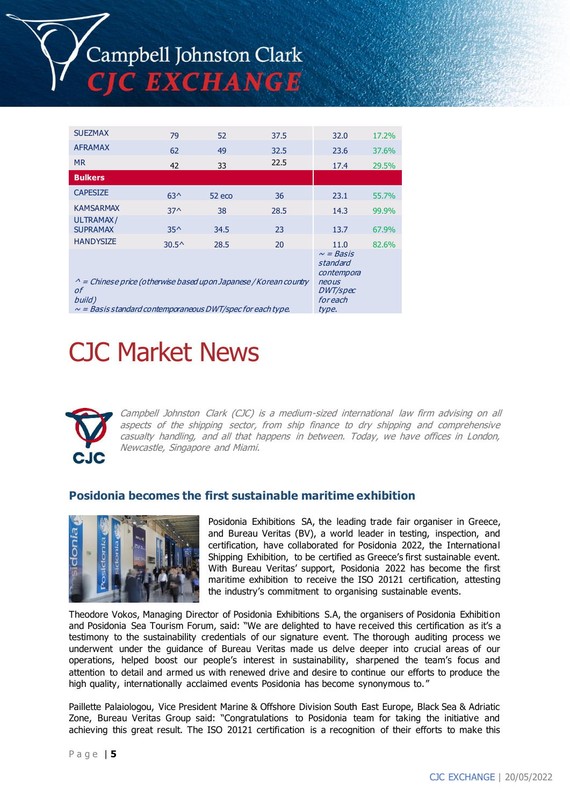| <b>SUEZMAX</b>                                                                                                                                              | 79             | 52                                                                                       | 37.5 | 32.0 | 17.2% |
|-------------------------------------------------------------------------------------------------------------------------------------------------------------|----------------|------------------------------------------------------------------------------------------|------|------|-------|
| <b>AFRAMAX</b>                                                                                                                                              | 62             | 49                                                                                       | 32.5 | 23.6 | 37.6% |
| <b>MR</b>                                                                                                                                                   | 42             | 33                                                                                       | 22.5 | 17.4 | 29.5% |
| <b>Bulkers</b>                                                                                                                                              |                |                                                                                          |      |      |       |
| <b>CAPESIZE</b>                                                                                                                                             | $63^$          | $52$ eco                                                                                 | 36   | 23.1 | 55.7% |
| <b>KAMSARMAX</b>                                                                                                                                            | $37^$          | 38                                                                                       | 28.5 | 14.3 | 99.9% |
| ULTRAMAX/<br><b>SUPRAMAX</b>                                                                                                                                | $35^{\wedge}$  | 34.5                                                                                     | 23   | 13.7 | 67.9% |
| <b>HANDYSIZE</b>                                                                                                                                            | $30.5^{\circ}$ | 28.5                                                                                     | 20   | 11.0 | 82.6% |
| $\wedge$ = Chinese price (otherwise based upon Japanese / Korean country<br>οf<br>build)<br>$\sim$ = Basis standard contemporaneous DWT/spec for each type. |                | $\sim$ = Basis<br>standard<br>contempora<br>neous<br><i>DWT/spec</i><br>foreach<br>type. |      |      |       |

# CJC Market News



Campbell Johnston Clark (CJC) is a medium-sized international law firm advising on all aspects of the shipping sector, from ship finance to dry shipping and comprehensive casualty handling, and all that happens in between. Today, we have offices in London, Newcastle, Singapore and Miami.

# **Posidonia becomes the first sustainable maritime exhibition**



Posidonia Exhibitions SA, the leading trade fair organiser in Greece, and Bureau Veritas (BV), a world leader in testing, inspection, and certification, have collaborated for Posidonia 2022, the International Shipping Exhibition, to be certified as Greece's first sustainable event. With Bureau Veritas' support, Posidonia 2022 has become the first maritime exhibition to receive the ISO 20121 certification, attesting the industry's commitment to organising sustainable events.

Theodore Vokos, Managing Director of Posidonia Exhibitions S.A, the organisers of Posidonia Exhibition and Posidonia Sea Tourism Forum, said: "We are delighted to have received this certification as it's a testimony to the sustainability credentials of our signature event. The thorough auditing process we underwent under the guidance of Bureau Veritas made us delve deeper into crucial areas of our operations, helped boost our people's interest in sustainability, sharpened the team's focus and attention to detail and armed us with renewed drive and desire to continue our efforts to produce the high quality, internationally acclaimed events Posidonia has become synonymous to."

Paillette Palaiologou, Vice President Marine & Offshore Division South East Europe, Black Sea & Adriatic Zone, Bureau Veritas Group said: "Congratulations to Posidonia team for taking the initiative and achieving this great result. The ISO 20121 certification is a recognition of their efforts to make this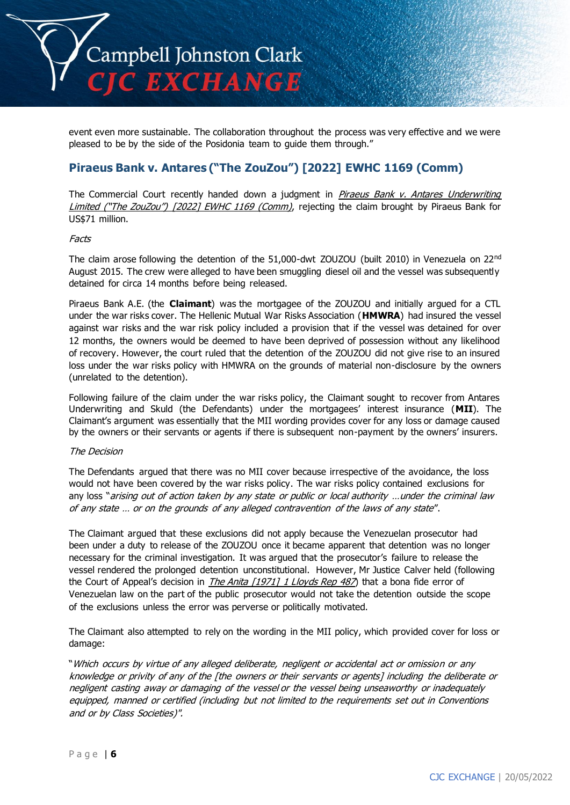

event even more sustainable. The collaboration throughout the process was very effective and we were pleased to be by the side of the Posidonia team to guide them through."

# **Piraeus Bank v. Antares ("The ZouZou") [2022] EWHC 1169 (Comm)**

The Commercial Court recently handed down a judgment in Piraeus Bank v. Antares Underwriting Limited ("The ZouZou") [2022] EWHC 1169 (Comm), rejecting the claim brought by Piraeus Bank for US\$71 million.

### Facts

The claim arose following the detention of the 51,000-dwt ZOUZOU (built 2010) in Venezuela on 22nd August 2015. The crew were alleged to have been smuggling diesel oil and the vessel was subsequently detained for circa 14 months before being released.

Piraeus Bank A.E. (the **Claimant**) was the mortgagee of the ZOUZOU and initially argued for a CTL under the war risks cover. The Hellenic Mutual War Risks Association (**HMWRA**) had insured the vessel against war risks and the war risk policy included a provision that if the vessel was detained for over 12 months, the owners would be deemed to have been deprived of possession without any likelihood of recovery. However, the court ruled that the detention of the ZOUZOU did not give rise to an insured loss under the war risks policy with HMWRA on the grounds of material non-disclosure by the owners (unrelated to the detention).

Following failure of the claim under the war risks policy, the Claimant sought to recover from Antares Underwriting and Skuld (the Defendants) under the mortgagees' interest insurance (**MII**). The Claimant's argument was essentially that the MII wording provides cover for any loss or damage caused by the owners or their servants or agents if there is subsequent non-payment by the owners' insurers.

### The Decision

The Defendants argued that there was no MII cover because irrespective of the avoidance, the loss would not have been covered by the war risks policy. The war risks policy contained exclusions for any loss "arising out of action taken by any state or public or local authority ... under the criminal law of any state … or on the grounds of any alleged contravention of the laws of any state".

The Claimant argued that these exclusions did not apply because the Venezuelan prosecutor had been under a duty to release of the ZOUZOU once it became apparent that detention was no longer necessary for the criminal investigation. It was argued that the prosecutor's failure to release the vessel rendered the prolonged detention unconstitutional. However, Mr Justice Calver held (following the Court of Appeal's decision in *The Anita [1971] 1 Lloyds Rep 487*) that a bona fide error of Venezuelan law on the part of the public prosecutor would not take the detention outside the scope of the exclusions unless the error was perverse or politically motivated.

The Claimant also attempted to rely on the wording in the MII policy, which provided cover for loss or damage:

"Which occurs by virtue of any alleged deliberate, negligent or accidental act or omission or any knowledge or privity of any of the [the owners or their servants or agents] including the deliberate or negligent casting away or damaging of the vessel or the vessel being unseaworthy or inadequately equipped, manned or certified (including but not limited to the requirements set out in Conventions and or by Class Societies)".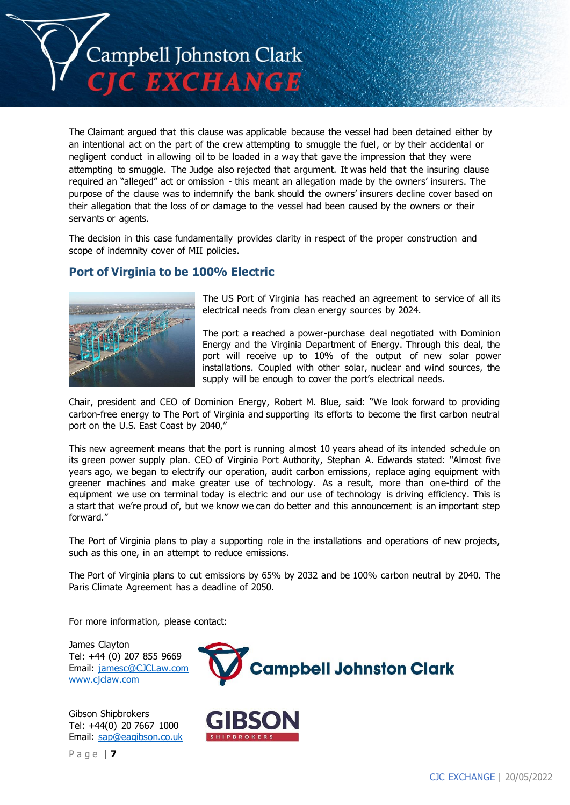

The Claimant argued that this clause was applicable because the vessel had been detained either by an intentional act on the part of the crew attempting to smuggle the fuel, or by their accidental or negligent conduct in allowing oil to be loaded in a way that gave the impression that they were attempting to smuggle. The Judge also rejected that argument. It was held that the insuring clause required an "alleged" act or omission - this meant an allegation made by the owners' insurers. The purpose of the clause was to indemnify the bank should the owners' insurers decline cover based on their allegation that the loss of or damage to the vessel had been caused by the owners or their servants or agents.

The decision in this case fundamentally provides clarity in respect of the proper construction and scope of indemnity cover of MII policies.

# **Port of Virginia to be 100% Electric**



The US Port of Virginia has reached an agreement to service of all its electrical needs from clean energy sources by 2024.

The port a reached a power-purchase deal negotiated with Dominion Energy and the Virginia Department of Energy. Through this deal, the port will receive up to 10% of the output of new solar power installations. Coupled with other solar, nuclear and wind sources, the supply will be enough to cover the port's electrical needs.

Chair, president and CEO of Dominion Energy, Robert M. Blue, said: "We look forward to providing carbon-free energy to The Port of Virginia and supporting its efforts to become the first carbon neutral port on the U.S. East Coast by 2040,"

This new agreement means that the port is running almost 10 years ahead of its intended schedule on its green power supply plan. CEO of Virginia Port Authority, Stephan A. Edwards stated: "Almost five years ago, we began to electrify our operation, audit carbon emissions, replace aging equipment with greener machines and make greater use of technology. As a result, more than one-third of the equipment we use on terminal today is electric and our use of technology is driving efficiency. This is a start that we're proud of, but we know we can do better and this announcement is an important step forward."

The Port of Virginia plans to play a supporting role in the installations and operations of new projects, such as this one, in an attempt to reduce emissions.

The Port of Virginia plans to cut emissions by 65% by 2032 and be 100% carbon neutral by 2040. The Paris Climate Agreement has a deadline of 2050.

For more information, please contact:

James Clayton Tel: +44 (0) 207 855 9669 Email: [jamesc@CJCLaw.com](mailto:jamesc@CJCLaw.com) [www.cjclaw.com](http://www.cjclaw.com/)



Gibson Shipbrokers Tel: +44(0) 20 7667 1000 Email: [sap@eagibson.co.uk](mailto:sap@eagibson.co.uk)

CJC EXCHANGE | 20/05/2022